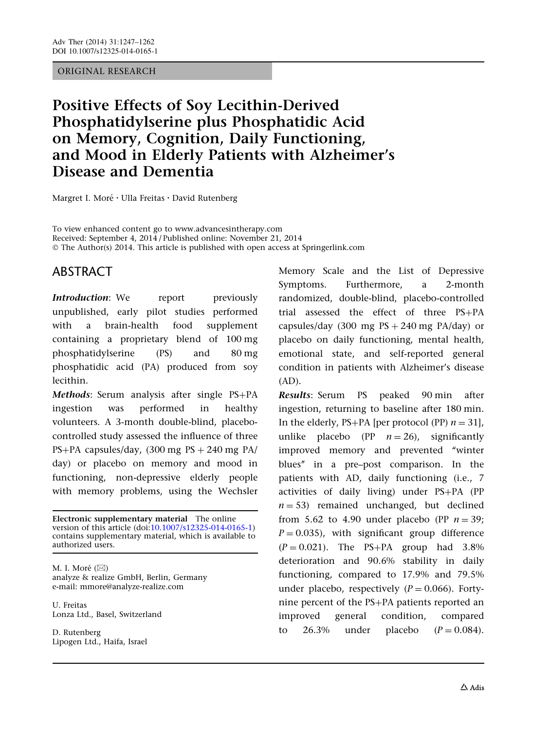#### ORIGINAL RESEARCH

# Positive Effects of Soy Lecithin-Derived Phosphatidylserine plus Phosphatidic Acid on Memory, Cognition, Daily Functioning, and Mood in Elderly Patients with Alzheimer's Disease and Dementia

Margret I. Moré · Ulla Freitas · David Rutenberg

To view enhanced content go to www.advancesintherapy.com Received: September 4, 2014 / Published online: November 21, 2014 © The Author(s) 2014. This article is published with open access at Springerlink.com

# ABSTRACT

Introduction: We report previously unpublished, early pilot studies performed with a brain-health food supplement containing a proprietary blend of 100 mg phosphatidylserine (PS) and 80 mg phosphatidic acid (PA) produced from soy lecithin.

Methods: Serum analysis after single  $PS+PA$ ingestion was performed in healthy volunteers. A 3-month double-blind, placebocontrolled study assessed the influence of three PS+PA capsules/day,  $(300 \text{ mg} \text{ PS} + 240 \text{ mg} \text{ PA})$ day) or placebo on memory and mood in functioning, non-depressive elderly people with memory problems, using the Wechsler

Electronic supplementary material The online version of this article (doi:[10.1007/s12325-014-0165-1\)](http://dx.doi.org/10.1007/s12325-014-0165-1) contains supplementary material, which is available to authorized users.

M. I. Moré  $(\boxtimes)$ analyze & realize GmbH, Berlin, Germany e-mail: mmore@analyze-realize.com

U. Freitas Lonza Ltd., Basel, Switzerland

D. Rutenberg Lipogen Ltd., Haifa, Israel Memory Scale and the List of Depressive Symptoms. Furthermore, a 2-month randomized, double-blind, placebo-controlled trial assessed the effect of three  $PS+PA$ capsules/day (300 mg  $PS + 240$  mg PA/day) or placebo on daily functioning, mental health, emotional state, and self-reported general condition in patients with Alzheimer's disease (AD).

Results: Serum PS peaked 90 min after ingestion, returning to baseline after 180 min. In the elderly, PS+PA [per protocol (PP)  $n = 31$ ], unlike placebo (PP  $n = 26$ ), significantly improved memory and prevented ''winter blues'' in a pre–post comparison. In the patients with AD, daily functioning (i.e., 7 activities of daily living) under  $PS+PA$  (PP  $n = 53$ ) remained unchanged, but declined from 5.62 to 4.90 under placebo (PP  $n = 39$ ;  $P = 0.035$ ), with significant group difference  $(P = 0.021)$ . The PS+PA group had 3.8% deterioration and 90.6% stability in daily functioning, compared to 17.9% and 79.5% under placebo, respectively  $(P = 0.066)$ . Fortynine percent of the PS+PA patients reported an improved general condition, compared to 26.3% under placebo  $(P = 0.084)$ .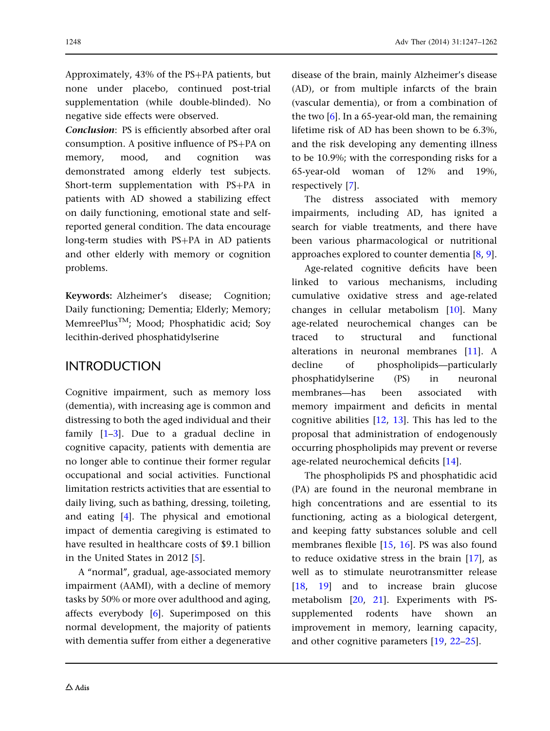<span id="page-1-0"></span>Approximately,  $43\%$  of the PS+PA patients, but none under placebo, continued post-trial supplementation (while double-blinded). No negative side effects were observed.

Conclusion: PS is efficiently absorbed after oral consumption. A positive influence of  $PS+PA$  on memory, mood, and cognition was demonstrated among elderly test subjects. Short-term supplementation with  $PS+PA$  in patients with AD showed a stabilizing effect on daily functioning, emotional state and selfreported general condition. The data encourage long-term studies with  $PS+PA$  in AD patients and other elderly with memory or cognition problems.

Keywords: Alzheimer's disease; Cognition; Daily functioning; Dementia; Elderly; Memory; MemreePlus<sup>TM</sup>; Mood; Phosphatidic acid; Soy lecithin-derived phosphatidylserine

# INTRODUCTION

Cognitive impairment, such as memory loss (dementia), with increasing age is common and distressing to both the aged individual and their family  $[1-3]$  $[1-3]$  $[1-3]$ . Due to a gradual decline in cognitive capacity, patients with dementia are no longer able to continue their former regular occupational and social activities. Functional limitation restricts activities that are essential to daily living, such as bathing, dressing, toileting, and eating [[4\]](#page-13-0). The physical and emotional impact of dementia caregiving is estimated to have resulted in healthcare costs of \$9.1 billion in the United States in 2012 [\[5](#page-13-0)].

A ''normal'', gradual, age-associated memory impairment (AAMI), with a decline of memory tasks by 50% or more over adulthood and aging, affects everybody [[6](#page-13-0)]. Superimposed on this normal development, the majority of patients with dementia suffer from either a degenerative

disease of the brain, mainly Alzheimer's disease (AD), or from multiple infarcts of the brain (vascular dementia), or from a combination of the two [\[6\]](#page-13-0). In a 65-year-old man, the remaining lifetime risk of AD has been shown to be 6.3%, and the risk developing any dementing illness to be 10.9%; with the corresponding risks for a 65-year-old woman of 12% and 19%, respectively [[7](#page-13-0)].

The distress associated with memory impairments, including AD, has ignited a search for viable treatments, and there have been various pharmacological or nutritional approaches explored to counter dementia [\[8](#page-13-0), [9](#page-13-0)].

Age-related cognitive deficits have been linked to various mechanisms, including cumulative oxidative stress and age-related changes in cellular metabolism [\[10\]](#page-13-0). Many age-related neurochemical changes can be traced to structural and functional alterations in neuronal membranes [\[11\]](#page-13-0). A decline of phospholipids—particularly phosphatidylserine (PS) in neuronal membranes—has been associated with memory impairment and deficits in mental cognitive abilities [\[12,](#page-13-0) [13](#page-13-0)]. This has led to the proposal that administration of endogenously occurring phospholipids may prevent or reverse age-related neurochemical deficits [[14](#page-13-0)].

The phospholipids PS and phosphatidic acid (PA) are found in the neuronal membrane in high concentrations and are essential to its functioning, acting as a biological detergent, and keeping fatty substances soluble and cell membranes flexible [[15](#page-13-0), [16](#page-13-0)]. PS was also found to reduce oxidative stress in the brain [\[17\]](#page-13-0), as well as to stimulate neurotransmitter release [\[18,](#page-13-0) [19](#page-13-0)] and to increase brain glucose metabolism [[20](#page-13-0), [21\]](#page-13-0). Experiments with PSsupplemented rodents have shown an improvement in memory, learning capacity, and other cognitive parameters [[19](#page-13-0), [22–25](#page-13-0)].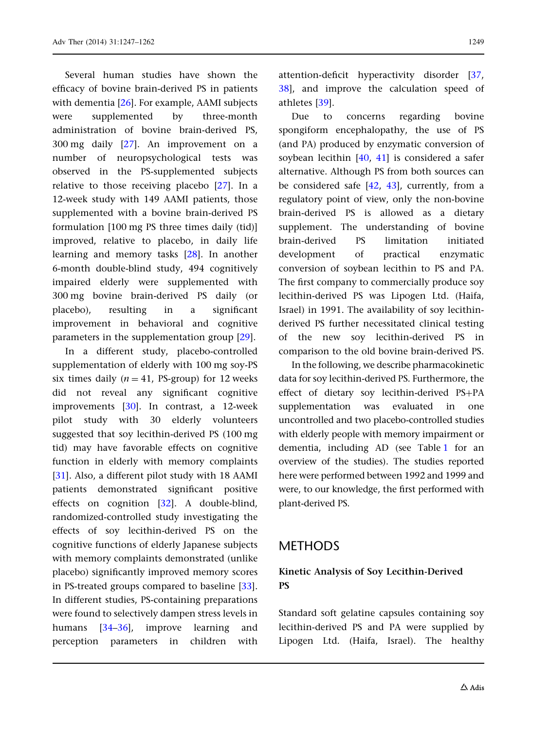Several human studies have shown the efficacy of bovine brain-derived PS in patients with dementia [\[26\]](#page-13-0). For example, AAMI subjects were supplemented by three-month administration of bovine brain-derived PS, 300 mg daily [[27](#page-13-0)]. An improvement on a number of neuropsychological tests was observed in the PS-supplemented subjects relative to those receiving placebo [\[27\]](#page-13-0). In a 12-week study with 149 AAMI patients, those supplemented with a bovine brain-derived PS formulation [100 mg PS three times daily (tid)] improved, relative to placebo, in daily life learning and memory tasks [[28\]](#page-13-0). In another 6-month double-blind study, 494 cognitively impaired elderly were supplemented with 300 mg bovine brain-derived PS daily (or placebo), resulting in a significant improvement in behavioral and cognitive parameters in the supplementation group [[29](#page-14-0)].

In a different study, placebo-controlled supplementation of elderly with 100 mg soy-PS six times daily ( $n = 41$ , PS-group) for 12 weeks did not reveal any significant cognitive improvements [[30](#page-14-0)]. In contrast, a 12-week pilot study with 30 elderly volunteers suggested that soy lecithin-derived PS (100 mg tid) may have favorable effects on cognitive function in elderly with memory complaints [\[31](#page-14-0)]. Also, a different pilot study with 18 AAMI patients demonstrated significant positive effects on cognition [[32](#page-14-0)]. A double-blind, randomized-controlled study investigating the effects of soy lecithin-derived PS on the cognitive functions of elderly Japanese subjects with memory complaints demonstrated (unlike placebo) significantly improved memory scores in PS-treated groups compared to baseline [[33\]](#page-14-0). In different studies, PS-containing preparations were found to selectively dampen stress levels in humans [[34–36\]](#page-14-0), improve learning and perception parameters in children with

attention-deficit hyperactivity disorder [\[37](#page-14-0), [38](#page-14-0)], and improve the calculation speed of athletes [[39](#page-14-0)].

Due to concerns regarding bovine spongiform encephalopathy, the use of PS (and PA) produced by enzymatic conversion of soybean lecithin [\[40,](#page-14-0) [41\]](#page-14-0) is considered a safer alternative. Although PS from both sources can be considered safe [\[42,](#page-14-0) [43\]](#page-14-0), currently, from a regulatory point of view, only the non-bovine brain-derived PS is allowed as a dietary supplement. The understanding of bovine brain-derived PS limitation initiated development of practical enzymatic conversion of soybean lecithin to PS and PA. The first company to commercially produce soy lecithin-derived PS was Lipogen Ltd. (Haifa, Israel) in 1991. The availability of soy lecithinderived PS further necessitated clinical testing of the new soy lecithin-derived PS in comparison to the old bovine brain-derived PS.

In the following, we describe pharmacokinetic data for soy lecithin-derived PS. Furthermore, the effect of dietary soy lecithin-derived PS+PA supplementation was evaluated in one uncontrolled and two placebo-controlled studies with elderly people with memory impairment or dementia, including AD (see Table [1](#page-3-0) for an overview of the studies). The studies reported here were performed between 1992 and 1999 and were, to our knowledge, the first performed with plant-derived PS.

## **METHODS**

### Kinetic Analysis of Soy Lecithin-Derived PS

Standard soft gelatine capsules containing soy lecithin-derived PS and PA were supplied by Lipogen Ltd. (Haifa, Israel). The healthy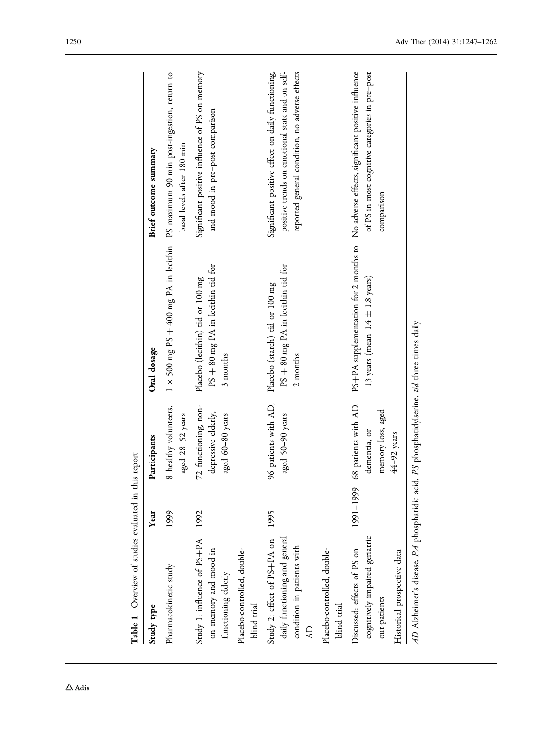<span id="page-3-0"></span>

| Table 1 Overview of studies evaluated in this report                                                         |           |                                                                 |                                                                                                      |                                                                                                                                                                               |
|--------------------------------------------------------------------------------------------------------------|-----------|-----------------------------------------------------------------|------------------------------------------------------------------------------------------------------|-------------------------------------------------------------------------------------------------------------------------------------------------------------------------------|
| Study type                                                                                                   | Year      | Participants                                                    | Oral dosage                                                                                          | Brief outcome summary                                                                                                                                                         |
| Pharmacokinetic study                                                                                        | 1999      | 8 healthy volunteers,<br>aged 28-52 years                       |                                                                                                      | 1 × 500 mg PS + 400 mg PA in lecithin PS maximum 90 min post-ingestion, return to<br>basal levels after 180 min                                                               |
| Study 1: influence of PS+PA<br>on memory and mood in<br>functioning elderly                                  | 1992      | 72 functioning, non-<br>depressive elderly,<br>aged 60-80 years | PS + 80 mg PA in lecithin tid for<br>Placebo (lecithin) tid or 100 mg<br>3 months                    | Significant positive influence of PS on memory<br>and mood in pre-post comparison                                                                                             |
| Placebo-controlled, double-<br>blind trial                                                                   |           |                                                                 |                                                                                                      |                                                                                                                                                                               |
| Study 2: effect of PS+PA on<br>daily functioning and general<br>condition in patients with                   | 1995      | aged 50-90 years                                                | PS + 80 mg PA in lecithin tid for<br>96 patients with AD, Placebo (starch) tid or 100 mg<br>2 months | positive trends on emotional state and on self-<br>reported general condition, no adverse effects<br>Significant positive effect on daily functioning,                        |
| Placebo-controlled, double-<br>blind trial                                                                   |           |                                                                 |                                                                                                      |                                                                                                                                                                               |
| cognitively impaired geriatric<br>Discussed: effects of PS on<br>Historical prospective data<br>out-patients | 1991-1999 | memory loss, aged<br>dementia, or<br>$44 - 92$ years            | 13 years (mean $1.4 \pm 1.8$ years)                                                                  | 68 patients with AD, PS+PA supplementation for 2 months to No adverse effects, significant positive influence<br>of PS in most cognitive categories in pre-post<br>comparison |
| AD Alzheimer's disease, PA phosphatidic acid, PS phosphatidylserine, tid three times daily                   |           |                                                                 |                                                                                                      |                                                                                                                                                                               |

 $\Delta$ Adis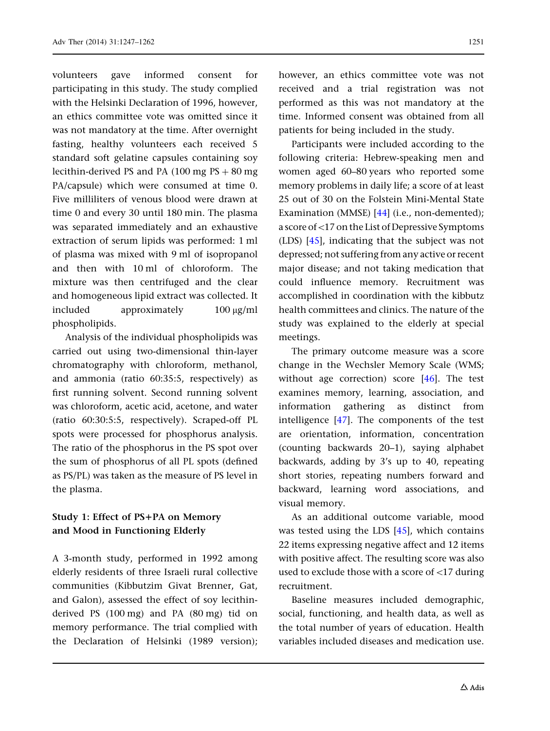volunteers gave informed consent for participating in this study. The study complied with the Helsinki Declaration of 1996, however, an ethics committee vote was omitted since it was not mandatory at the time. After overnight fasting, healthy volunteers each received 5 standard soft gelatine capsules containing soy lecithin-derived PS and PA  $(100 \text{ mg} \text{ PS} + 80 \text{ mg})$ PA/capsule) which were consumed at time 0. Five milliliters of venous blood were drawn at time 0 and every 30 until 180 min. The plasma was separated immediately and an exhaustive extraction of serum lipids was performed: 1 ml of plasma was mixed with 9 ml of isopropanol and then with 10 ml of chloroform. The mixture was then centrifuged and the clear and homogeneous lipid extract was collected. It included approximately  $100 \mu g/ml$ phospholipids.

Analysis of the individual phospholipids was carried out using two-dimensional thin-layer chromatography with chloroform, methanol, and ammonia (ratio 60:35:5, respectively) as first running solvent. Second running solvent was chloroform, acetic acid, acetone, and water (ratio 60:30:5:5, respectively). Scraped-off PL spots were processed for phosphorus analysis. The ratio of the phosphorus in the PS spot over the sum of phosphorus of all PL spots (defined as PS/PL) was taken as the measure of PS level in the plasma.

### Study 1: Effect of PS+PA on Memory and Mood in Functioning Elderly

A 3-month study, performed in 1992 among elderly residents of three Israeli rural collective communities (Kibbutzim Givat Brenner, Gat, and Galon), assessed the effect of soy lecithinderived PS (100 mg) and PA (80 mg) tid on memory performance. The trial complied with the Declaration of Helsinki (1989 version);

however, an ethics committee vote was not received and a trial registration was not performed as this was not mandatory at the time. Informed consent was obtained from all patients for being included in the study.

Participants were included according to the following criteria: Hebrew-speaking men and women aged 60–80 years who reported some memory problems in daily life; a score of at least 25 out of 30 on the Folstein Mini-Mental State Examination (MMSE) [[44](#page-14-0)] (i.e., non-demented); a score of\17 on the List of Depressive Symptoms (LDS) [[45](#page-14-0)], indicating that the subject was not depressed; not suffering from any active or recent major disease; and not taking medication that could influence memory. Recruitment was accomplished in coordination with the kibbutz health committees and clinics. The nature of the study was explained to the elderly at special meetings.

The primary outcome measure was a score change in the Wechsler Memory Scale (WMS; without age correction) score  $[46]$ . The test examines memory, learning, association, and information gathering as distinct from intelligence [[47](#page-14-0)]. The components of the test are orientation, information, concentration (counting backwards 20–1), saying alphabet backwards, adding by 3's up to 40, repeating short stories, repeating numbers forward and backward, learning word associations, and visual memory.

As an additional outcome variable, mood was tested using the LDS  $[45]$  $[45]$ , which contains 22 items expressing negative affect and 12 items with positive affect. The resulting score was also used to exclude those with a score of  $<$ 17 during recruitment.

Baseline measures included demographic, social, functioning, and health data, as well as the total number of years of education. Health variables included diseases and medication use.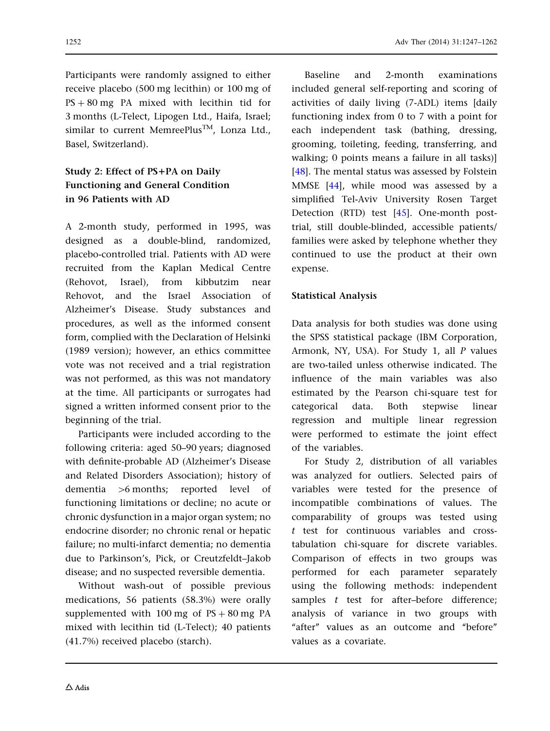Participants were randomly assigned to either receive placebo (500 mg lecithin) or 100 mg of  $PS + 80$  mg PA mixed with lecithin tid for 3 months (L-Telect, Lipogen Ltd., Haifa, Israel; similar to current MemreePlus<sup>TM</sup>, Lonza Ltd., Basel, Switzerland).

## Study 2: Effect of PS+PA on Daily Functioning and General Condition in 96 Patients with AD

A 2-month study, performed in 1995, was designed as a double-blind, randomized, placebo-controlled trial. Patients with AD were recruited from the Kaplan Medical Centre (Rehovot, Israel), from kibbutzim near Rehovot, and the Israel Association of Alzheimer's Disease. Study substances and procedures, as well as the informed consent form, complied with the Declaration of Helsinki (1989 version); however, an ethics committee vote was not received and a trial registration was not performed, as this was not mandatory at the time. All participants or surrogates had signed a written informed consent prior to the beginning of the trial.

Participants were included according to the following criteria: aged 50–90 years; diagnosed with definite-probable AD (Alzheimer's Disease and Related Disorders Association); history of dementia >6 months; reported level of functioning limitations or decline; no acute or chronic dysfunction in a major organ system; no endocrine disorder; no chronic renal or hepatic failure; no multi-infarct dementia; no dementia due to Parkinson's, Pick, or Creutzfeldt–Jakob disease; and no suspected reversible dementia.

Without wash-out of possible previous medications, 56 patients (58.3%) were orally supplemented with  $100 \text{ mg}$  of  $PS + 80 \text{ mg}$  PA mixed with lecithin tid (L-Telect); 40 patients (41.7%) received placebo (starch).

Baseline and 2-month examinations included general self-reporting and scoring of activities of daily living (7-ADL) items [daily functioning index from 0 to 7 with a point for each independent task (bathing, dressing, grooming, toileting, feeding, transferring, and walking; 0 points means a failure in all tasks)] [\[48\]](#page-14-0). The mental status was assessed by Folstein MMSE [\[44](#page-14-0)], while mood was assessed by a simplified Tel-Aviv University Rosen Target Detection (RTD) test [\[45\]](#page-14-0). One-month posttrial, still double-blinded, accessible patients/ families were asked by telephone whether they continued to use the product at their own expense.

#### Statistical Analysis

Data analysis for both studies was done using the SPSS statistical package (IBM Corporation, Armonk, NY, USA). For Study 1, all P values are two-tailed unless otherwise indicated. The influence of the main variables was also estimated by the Pearson chi-square test for categorical data. Both stepwise linear regression and multiple linear regression were performed to estimate the joint effect of the variables.

For Study 2, distribution of all variables was analyzed for outliers. Selected pairs of variables were tested for the presence of incompatible combinations of values. The comparability of groups was tested using t test for continuous variables and crosstabulation chi-square for discrete variables. Comparison of effects in two groups was performed for each parameter separately using the following methods: independent samples  $t$  test for after-before difference; analysis of variance in two groups with "after" values as an outcome and "before" values as a covariate.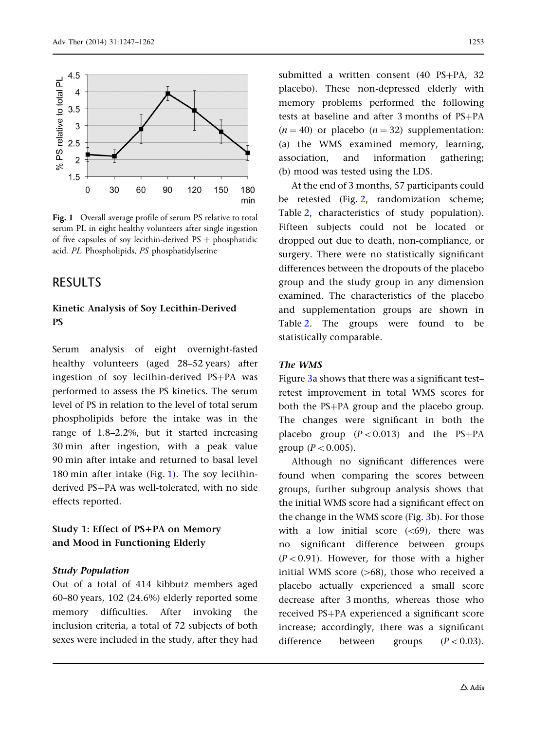

Fig. 1 Overall average profile of serum PS relative to total serum PL in eight healthy volunteers after single ingestion of five capsules of soy lecithin-derived  $PS +$  phosphatidic acid. PL Phospholipids, PS phosphatidylserine

### RESULTS

### Kinetic Analysis of Soy Lecithin-Derived PS

Serum analysis of eight overnight-fasted healthy volunteers (aged 28–52 years) after ingestion of soy lecithin-derived  $PS+PA$  was performed to assess the PS kinetics. The serum level of PS in relation to the level of total serum phospholipids before the intake was in the range of 1.8–2.2%, but it started increasing 30 min after ingestion, with a peak value 90 min after intake and returned to basal level 180 min after intake (Fig. 1). The soy lecithinderived PS+PA was well-tolerated, with no side effects reported.

### Study 1: Effect of PS+PA on Memory and Mood in Functioning Elderly

#### Study Population

Out of a total of 414 kibbutz members aged 60–80 years, 102 (24.6%) elderly reported some memory difficulties. After invoking the inclusion criteria, a total of 72 subjects of both sexes were included in the study, after they had submitted a written consent (40 PS+PA, 32 placebo). These non-depressed elderly with memory problems performed the following tests at baseline and after  $3$  months of  $PS+PA$  $(n = 40)$  or placebo  $(n = 32)$  supplementation: (a) the WMS examined memory, learning, association, and information gathering; (b) mood was tested using the LDS.

At the end of 3 months, 57 participants could be retested (Fig. [2,](#page-7-0) randomization scheme; Table [2](#page-8-0), characteristics of study population). Fifteen subjects could not be located or dropped out due to death, non-compliance, or surgery. There were no statistically significant differences between the dropouts of the placebo group and the study group in any dimension examined. The characteristics of the placebo and supplementation groups are shown in Table [2](#page-8-0). The groups were found to be statistically comparable.

#### The WMS

Figure [3a](#page-9-0) shows that there was a significant test– retest improvement in total WMS scores for both the  $PS+PA$  group and the placebo group. The changes were significant in both the placebo group  $(P<0.013)$  and the PS+PA group ( $P < 0.005$ ).

Although no significant differences were found when comparing the scores between groups, further subgroup analysis shows that the initial WMS score had a significant effect on the change in the WMS score (Fig. [3](#page-9-0)b). For those with a low initial score  $( $69$ ), there was$ no significant difference between groups  $(P<0.91)$ . However, for those with a higher initial WMS score  $(>68)$ , those who received a placebo actually experienced a small score decrease after 3 months, whereas those who received PS+PA experienced a significant score increase; accordingly, there was a significant difference between groups  $(P<0.03)$ .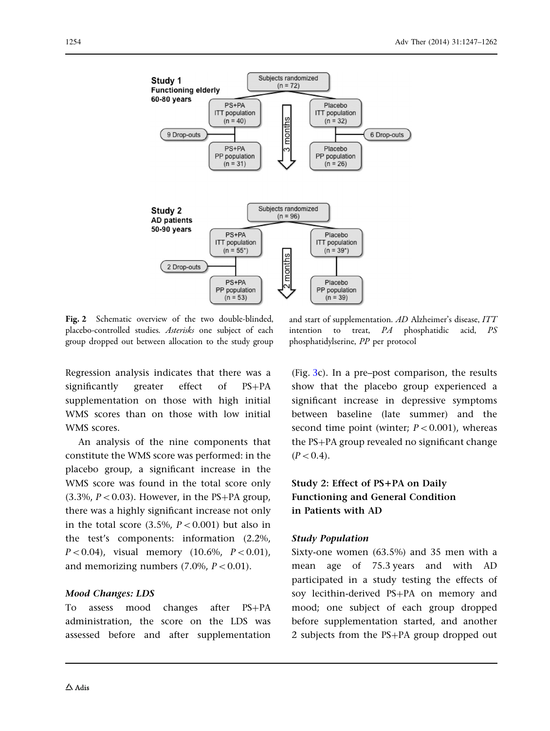<span id="page-7-0"></span>

Fig. 2 Schematic overview of the two double-blinded, placebo-controlled studies. Asterisks one subject of each group dropped out between allocation to the study group

Regression analysis indicates that there was a significantly greater effect of  $PS+PA$ supplementation on those with high initial WMS scores than on those with low initial WMS scores.

An analysis of the nine components that constitute the WMS score was performed: in the placebo group, a significant increase in the WMS score was found in the total score only  $(3.3\%, P < 0.03)$ . However, in the PS+PA group, there was a highly significant increase not only in the total score  $(3.5\%, P<0.001)$  but also in the test's components: information (2.2%,  $P<0.04$ ), visual memory (10.6%,  $P<0.01$ ), and memorizing numbers  $(7.0\%, P<0.01)$ .

#### Mood Changes: LDS

To assess mood changes after  $PS+PA$ administration, the score on the LDS was assessed before and after supplementation

and start of supplementation. AD Alzheimer's disease, ITT intention to treat, PA phosphatidic acid, PS phosphatidylserine, PP per protocol

(Fig. [3](#page-9-0)c). In a pre–post comparison, the results show that the placebo group experienced a significant increase in depressive symptoms between baseline (late summer) and the second time point (winter;  $P < 0.001$ ), whereas the  $PS+PA$  group revealed no significant change  $(P<0.4)$ .

### Study 2: Effect of PS+PA on Daily Functioning and General Condition in Patients with AD

#### Study Population

Sixty-one women (63.5%) and 35 men with a mean age of 75.3 years and with AD participated in a study testing the effects of soy lecithin-derived PS+PA on memory and mood; one subject of each group dropped before supplementation started, and another 2 subjects from the PS+PA group dropped out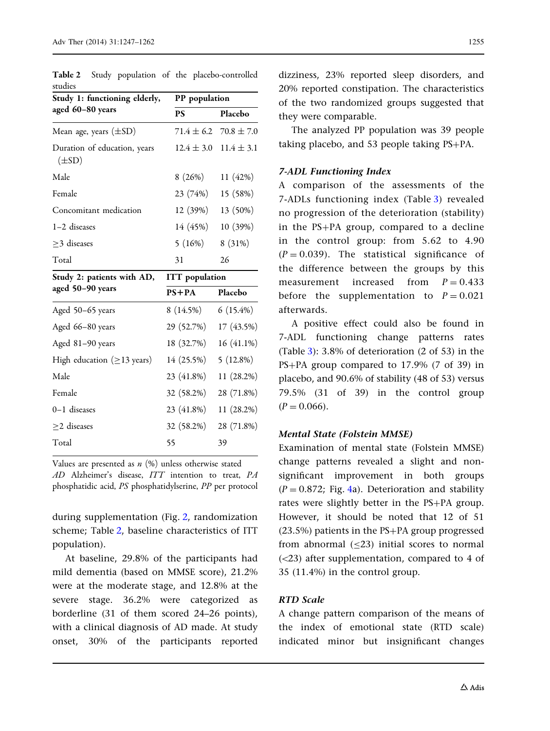| studies<br>Study 1: functioning elderly,   | PP population         |                               |
|--------------------------------------------|-----------------------|-------------------------------|
| aged 60-80 years                           | <b>PS</b>             | Placebo                       |
| Mean age, years $(\pm SD)$                 |                       | $71.4 \pm 6.2$ $70.8 \pm 7.0$ |
| Duration of education, years<br>$(\pm SD)$ | $12.4 \pm 3.0$        | $11.4 \pm 3.1$                |
| Male                                       | 8(26%)                | 11 (42%)                      |
| Female                                     | 23 (74%)              | 15 (58%)                      |
| Concomitant medication                     | 12 (39%)              | 13 (50%)                      |
| 1-2 diseases                               | 14 (45%)              | 10 (39%)                      |
| $\geq$ 3 diseases                          | 5(16%)                | 8 (31%)                       |
| Total                                      | 31                    | 26                            |
| Study 2: patients with AD,                 | <b>ITT</b> population |                               |
| aged 50-90 years                           | $PS+PA$               | Placebo                       |
| Aged 50-65 years                           | 8 (14.5%)             | $6(15.4\%)$                   |
| Aged 66-80 years                           | 29 (52.7%)            | 17 (43.5%)                    |
| Aged 81-90 years                           | 18 (32.7%)            | $16(41.1\%)$                  |
| High education ( $\geq$ 13 years)          | 14 (25.5%)            | 5(12.8%)                      |
| Male                                       | 23 (41.8%)            | 11 (28.2%)                    |
| Female                                     | 32 (58.2%)            | 28 (71.8%)                    |
| 0-1 diseases                               | 23 (41.8%)            | 11 (28.2%)                    |
| $>2$ diseases                              | 32 (58.2%)            | 28 (71.8%)                    |
| Total                                      | 55                    | 39                            |

<span id="page-8-0"></span>Table 2 Study population of the placebo-controlled studies

Values are presented as  $n$  (%) unless otherwise stated AD Alzheimer's disease, ITT intention to treat, PA phosphatidic acid, PS phosphatidylserine, PP per protocol

during supplementation (Fig. [2](#page-7-0), randomization scheme; Table 2, baseline characteristics of ITT population).

At baseline, 29.8% of the participants had mild dementia (based on MMSE score), 21.2% were at the moderate stage, and 12.8% at the severe stage. 36.2% were categorized as borderline (31 of them scored 24–26 points), with a clinical diagnosis of AD made. At study onset, 30% of the participants reported

dizziness, 23% reported sleep disorders, and 20% reported constipation. The characteristics of the two randomized groups suggested that they were comparable.

The analyzed PP population was 39 people taking placebo, and 53 people taking  $PS+PA$ .

#### 7-ADL Functioning Index

A comparison of the assessments of the 7-ADLs functioning index (Table [3](#page-10-0)) revealed no progression of the deterioration (stability) in the  $PS+PA$  group, compared to a decline in the control group: from 5.62 to 4.90  $(P = 0.039)$ . The statistical significance of the difference between the groups by this measurement increased from  $P = 0.433$ before the supplementation to  $P = 0.021$ afterwards.

A positive effect could also be found in 7-ADL functioning change patterns rates (Table [3\)](#page-10-0): 3.8% of deterioration (2 of 53) in the  $PS+PA$  group compared to 17.9% (7 of 39) in placebo, and 90.6% of stability (48 of 53) versus 79.5% (31 of 39) in the control group  $(P = 0.066)$ .

#### Mental State (Folstein MMSE)

Examination of mental state (Folstein MMSE) change patterns revealed a slight and nonsignificant improvement in both groups  $(P = 0.872;$  Fig. [4a](#page-11-0)). Deterioration and stability rates were slightly better in the  $PS+PA$  group. However, it should be noted that 12 of 51  $(23.5%)$  patients in the PS+PA group progressed from abnormal  $(\leq 23)$  initial scores to normal  $(<23$ ) after supplementation, compared to 4 of 35 (11.4%) in the control group.

#### RTD Scale

A change pattern comparison of the means of the index of emotional state (RTD scale) indicated minor but insignificant changes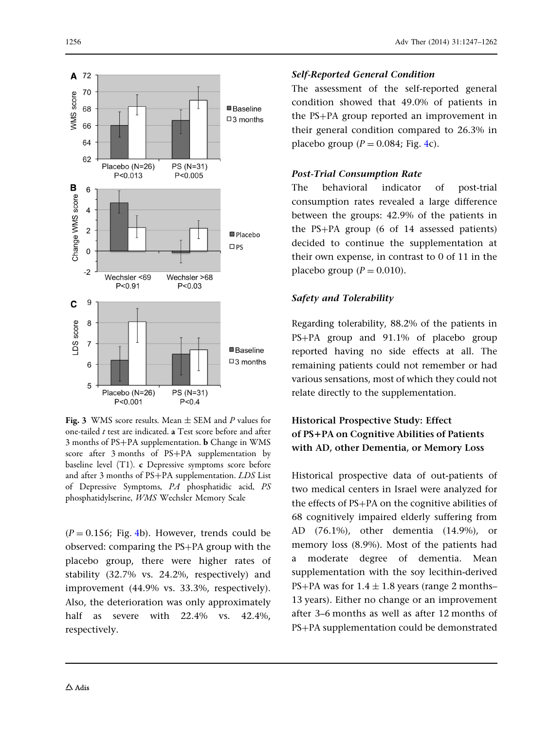<span id="page-9-0"></span>

Fig. 3 WMS score results. Mean  $\pm$  SEM and P values for one-tailed  $t$  test are indicated.  $a$  Test score before and after 3 months of  $PS+PA$  supplementation. **b** Change in WMS score after  $3$  months of  $PS+PA$  supplementation by baseline level (T1). c Depressive symptoms score before and after 3 months of PS+PA supplementation. LDS List of Depressive Symptoms, PA phosphatidic acid, PS phosphatidylserine, WMS Wechsler Memory Scale

 $(P = 0.156;$  Fig. [4](#page-11-0)b). However, trends could be observed: comparing the  $PS+PA$  group with the placebo group, there were higher rates of stability (32.7% vs. 24.2%, respectively) and improvement (44.9% vs. 33.3%, respectively). Also, the deterioration was only approximately half as severe with 22.4% vs. 42.4%, respectively.

#### Self-Reported General Condition

The assessment of the self-reported general condition showed that 49.0% of patients in the  $PS+PA$  group reported an improvement in their general condition compared to 26.3% in placebo group ( $P = 0.084$ ; Fig. [4c](#page-11-0)).

#### Post-Trial Consumption Rate

The behavioral indicator of post-trial consumption rates revealed a large difference between the groups: 42.9% of the patients in the  $PS+PA$  group (6 of 14 assessed patients) decided to continue the supplementation at their own expense, in contrast to 0 of 11 in the placebo group ( $P = 0.010$ ).

#### Safety and Tolerability

Regarding tolerability, 88.2% of the patients in PS+PA group and 91.1% of placebo group reported having no side effects at all. The remaining patients could not remember or had various sensations, most of which they could not relate directly to the supplementation.

## Historical Prospective Study: Effect of PS+PA on Cognitive Abilities of Patients with AD, other Dementia, or Memory Loss

Historical prospective data of out-patients of two medical centers in Israel were analyzed for the effects of PS+PA on the cognitive abilities of 68 cognitively impaired elderly suffering from AD (76.1%), other dementia (14.9%), or memory loss (8.9%). Most of the patients had a moderate degree of dementia. Mean supplementation with the soy lecithin-derived PS+PA was for  $1.4 \pm 1.8$  years (range 2 months– 13 years). Either no change or an improvement after 3–6 months as well as after 12 months of PS+PA supplementation could be demonstrated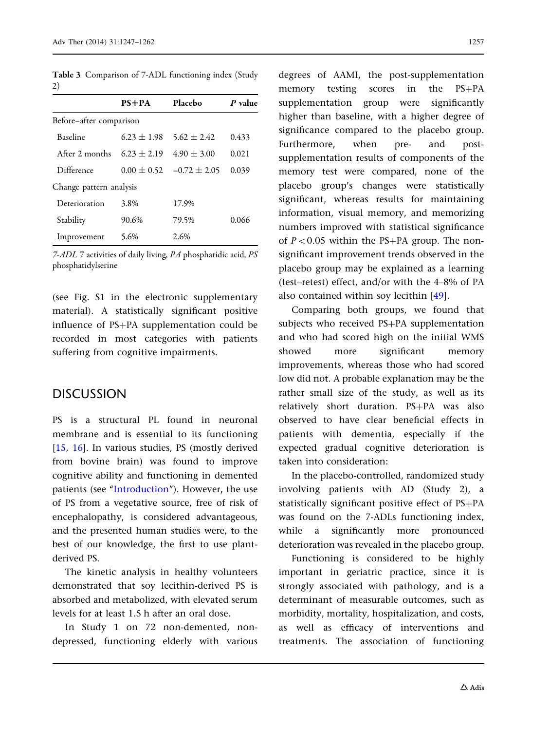<span id="page-10-0"></span>Table 3 Comparison of 7-ADL functioning index (Study 2)

|                         | $PS+PA$         | Placebo          | $P$ value |
|-------------------------|-----------------|------------------|-----------|
| Before–after comparison |                 |                  |           |
| Baseline                | $6.23 \pm 1.98$ | 5.62 $\pm$ 2.42  | 0.433     |
| After 2 months          | $6.23 \pm 2.19$ | $4.90 \pm 3.00$  | 0.021     |
| Difference              | $0.00 \pm 0.52$ | $-0.72 \pm 2.05$ | 0.039     |
| Change pattern analysis |                 |                  |           |
| Deterioration           | 3.8%            | 17.9%            |           |
| Stability               | 90.6%           | 79.5%            | 0.066     |
| Improvement             | 5.6%            | 2.6%             |           |

7-ADL 7 activities of daily living, PA phosphatidic acid, PS phosphatidylserine

(see Fig. S1 in the electronic supplementary material). A statistically significant positive influence of  $PS+PA$  supplementation could be recorded in most categories with patients suffering from cognitive impairments.

# DISCUSSION

PS is a structural PL found in neuronal membrane and is essential to its functioning [\[15](#page-13-0), [16\]](#page-13-0). In various studies, PS (mostly derived from bovine brain) was found to improve cognitive ability and functioning in demented patients (see "Introduction"). However, the use of PS from a vegetative source, free of risk of encephalopathy, is considered advantageous, and the presented human studies were, to the best of our knowledge, the first to use plantderived PS.

The kinetic analysis in healthy volunteers demonstrated that soy lecithin-derived PS is absorbed and metabolized, with elevated serum levels for at least 1.5 h after an oral dose.

In Study 1 on 72 non-demented, nondepressed, functioning elderly with various degrees of AAMI, the post-supplementation memory testing scores in the  $PS+PA$ supplementation group were significantly higher than baseline, with a higher degree of significance compared to the placebo group. Furthermore, when pre- and postsupplementation results of components of the memory test were compared, none of the placebo group's changes were statistically significant, whereas results for maintaining information, visual memory, and memorizing numbers improved with statistical significance of  $P<0.05$  within the PS+PA group. The nonsignificant improvement trends observed in the placebo group may be explained as a learning (test–retest) effect, and/or with the 4–8% of PA also contained within soy lecithin [\[49\]](#page-14-0).

Comparing both groups, we found that subjects who received  $PS+PA$  supplementation and who had scored high on the initial WMS showed more significant memory improvements, whereas those who had scored low did not. A probable explanation may be the rather small size of the study, as well as its  $relatively$  short duration.  $PS+PA$  was also observed to have clear beneficial effects in patients with dementia, especially if the expected gradual cognitive deterioration is taken into consideration:

In the placebo-controlled, randomized study involving patients with AD (Study 2), a statistically significant positive effect of PS+PA was found on the 7-ADLs functioning index, while a significantly more pronounced deterioration was revealed in the placebo group.

Functioning is considered to be highly important in geriatric practice, since it is strongly associated with pathology, and is a determinant of measurable outcomes, such as morbidity, mortality, hospitalization, and costs, as well as efficacy of interventions and treatments. The association of functioning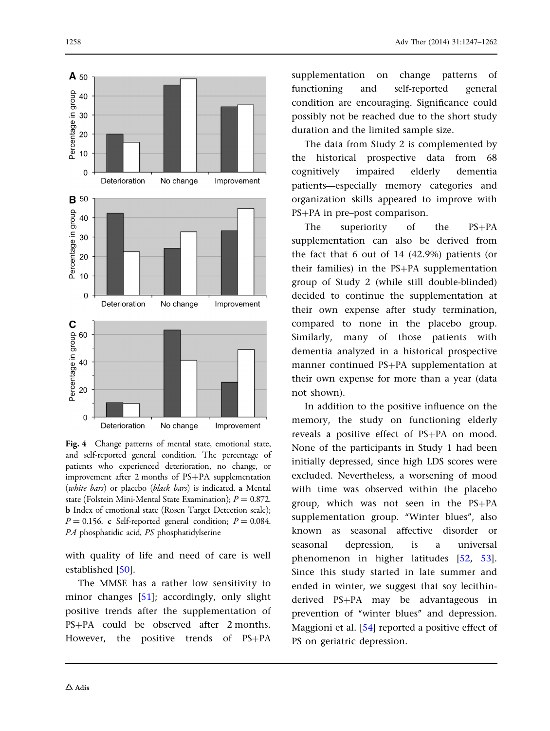<span id="page-11-0"></span>

Fig. 4 Change patterns of mental state, emotional state, and self-reported general condition. The percentage of patients who experienced deterioration, no change, or improvement after 2 months of  $PS+PA$  supplementation (white bars) or placebo (black bars) is indicated. a Mental state (Folstein Mini-Mental State Examination);  $P = 0.872$ . b Index of emotional state (Rosen Target Detection scale);  $P = 0.156$ . c Self-reported general condition;  $P = 0.084$ . PA phosphatidic acid, PS phosphatidylserine

with quality of life and need of care is well established [\[50\]](#page-14-0).

The MMSE has a rather low sensitivity to minor changes [[51](#page-14-0)]; accordingly, only slight positive trends after the supplementation of PS+PA could be observed after 2 months. However, the positive trends of PS+PA

supplementation on change patterns of functioning and self-reported general condition are encouraging. Significance could possibly not be reached due to the short study duration and the limited sample size.

The data from Study 2 is complemented by the historical prospective data from 68 cognitively impaired elderly dementia patients—especially memory categories and organization skills appeared to improve with PS+PA in pre–post comparison.

The superiority of the  $PS+PA$ supplementation can also be derived from the fact that 6 out of 14 (42.9%) patients (or their families) in the  $PS+PA$  supplementation group of Study 2 (while still double-blinded) decided to continue the supplementation at their own expense after study termination, compared to none in the placebo group. Similarly, many of those patients with dementia analyzed in a historical prospective manner continued PS+PA supplementation at their own expense for more than a year (data not shown).

In addition to the positive influence on the memory, the study on functioning elderly reveals a positive effect of PS+PA on mood. None of the participants in Study 1 had been initially depressed, since high LDS scores were excluded. Nevertheless, a worsening of mood with time was observed within the placebo group, which was not seen in the  $PS+PA$ supplementation group. "Winter blues", also known as seasonal affective disorder or seasonal depression, is a universal phenomenon in higher latitudes [[52](#page-14-0), [53](#page-15-0)]. Since this study started in late summer and ended in winter, we suggest that soy lecithinderived  $PS+PA$  may be advantageous in prevention of ''winter blues'' and depression. Maggioni et al. [[54](#page-15-0)] reported a positive effect of PS on geriatric depression.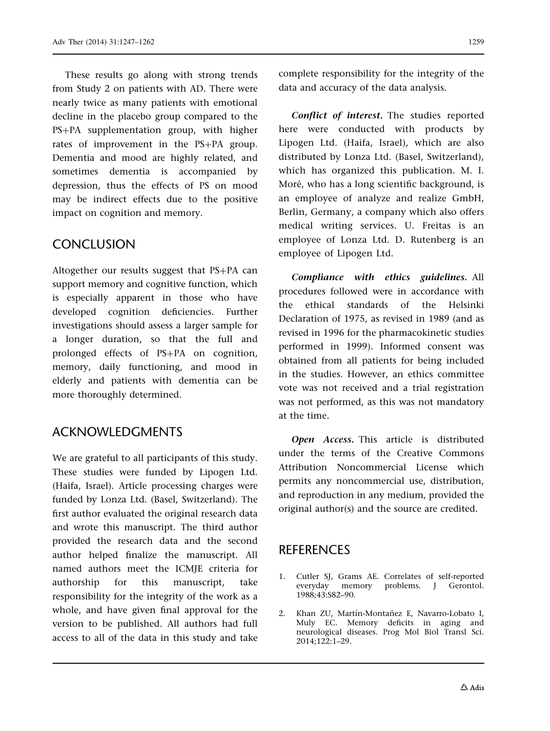<span id="page-12-0"></span>These results go along with strong trends from Study 2 on patients with AD. There were nearly twice as many patients with emotional decline in the placebo group compared to the PS+PA supplementation group, with higher rates of improvement in the PS+PA group. Dementia and mood are highly related, and sometimes dementia is accompanied by depression, thus the effects of PS on mood may be indirect effects due to the positive impact on cognition and memory.

## **CONCLUSION**

Altogether our results suggest that  $PS+PA$  can support memory and cognitive function, which is especially apparent in those who have developed cognition deficiencies. Further investigations should assess a larger sample for a longer duration, so that the full and prolonged effects of PS+PA on cognition, memory, daily functioning, and mood in elderly and patients with dementia can be more thoroughly determined.

# ACKNOWLEDGMENTS

We are grateful to all participants of this study. These studies were funded by Lipogen Ltd. (Haifa, Israel). Article processing charges were funded by Lonza Ltd. (Basel, Switzerland). The first author evaluated the original research data and wrote this manuscript. The third author provided the research data and the second author helped finalize the manuscript. All named authors meet the ICMJE criteria for authorship for this manuscript, take responsibility for the integrity of the work as a whole, and have given final approval for the version to be published. All authors had full access to all of the data in this study and take complete responsibility for the integrity of the data and accuracy of the data analysis.

Conflict of interest. The studies reported here were conducted with products by Lipogen Ltd. (Haifa, Israel), which are also distributed by Lonza Ltd. (Basel, Switzerland), which has organized this publication. M. I. Moré, who has a long scientific background, is an employee of analyze and realize GmbH, Berlin, Germany, a company which also offers medical writing services. U. Freitas is an employee of Lonza Ltd. D. Rutenberg is an employee of Lipogen Ltd.

Compliance with ethics guidelines. All procedures followed were in accordance with the ethical standards of the Helsinki Declaration of 1975, as revised in 1989 (and as revised in 1996 for the pharmacokinetic studies performed in 1999). Informed consent was obtained from all patients for being included in the studies. However, an ethics committee vote was not received and a trial registration was not performed, as this was not mandatory at the time.

Open Access. This article is distributed under the terms of the Creative Commons Attribution Noncommercial License which permits any noncommercial use, distribution, and reproduction in any medium, provided the original author(s) and the source are credited.

# **REFERENCES**

- 1. Cutler SJ, Grams AE. Correlates of self-reported everyday memory problems. J Gerontol. 1988;43:S82–90.
- 2. Khan ZU, Martín-Montañez E, Navarro-Lobato I, Muly EC. Memory deficits in aging and neurological diseases. Prog Mol Biol Transl Sci. 2014;122:1–29.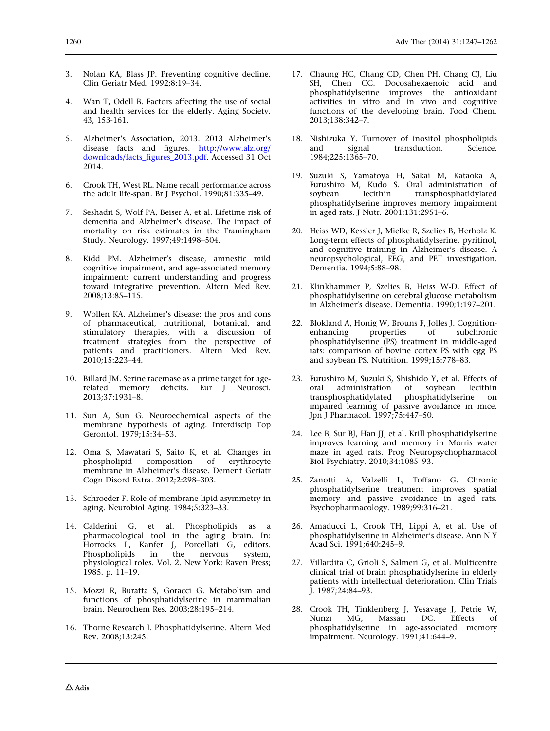- <span id="page-13-0"></span>3. Nolan KA, Blass JP. Preventing cognitive decline. Clin Geriatr Med. 1992;8:19–34.
- 4. Wan T, Odell B. Factors affecting the use of social and health services for the elderly. Aging Society. 43, 153-161.
- 5. Alzheimer's Association, 2013. 2013 Alzheimer's disease facts and figures. [http://www.alz.org/](http://www.alz.org/downloads/facts_figures_2013.pdf) [downloads/facts\\_figures\\_2013.pdf.](http://www.alz.org/downloads/facts_figures_2013.pdf) Accessed 31 Oct 2014.
- 6. Crook TH, West RL. Name recall performance across the adult life-span. Br J Psychol. 1990;81:335–49.
- 7. Seshadri S, Wolf PA, Beiser A, et al. Lifetime risk of dementia and Alzheimer's disease. The impact of mortality on risk estimates in the Framingham Study. Neurology. 1997;49:1498–504.
- 8. Kidd PM. Alzheimer's disease, amnestic mild cognitive impairment, and age-associated memory impairment: current understanding and progress toward integrative prevention. Altern Med Rev. 2008;13:85–115.
- 9. Wollen KA. Alzheimer's disease: the pros and cons of pharmaceutical, nutritional, botanical, and stimulatory therapies, with a discussion of treatment strategies from the perspective of patients and practitioners. Altern Med Rev. 2010;15:223–44.
- 10. Billard JM. Serine racemase as a prime target for agerelated memory deficits. Eur J Neurosci. 2013;37:1931–8.
- 11. Sun A, Sun G. Neuroechemical aspects of the membrane hypothesis of aging. Interdiscip Top Gerontol. 1979;15:34–53.
- 12. Oma S, Mawatari S, Saito K, et al. Changes in phospholipid composition of erythrocyte membrane in Alzheimer's disease. Dement Geriatr Cogn Disord Extra. 2012;2:298–303.
- 13. Schroeder F. Role of membrane lipid asymmetry in aging. Neurobiol Aging. 1984;5:323–33.
- 14. Calderini G, et al. Phospholipids as a pharmacological tool in the aging brain. In: Horrocks L, Kanfer J, Porcellati G, editors. Phospholipids in the nervous system, physiological roles. Vol. 2. New York: Raven Press; 1985. p. 11–19.
- 15. Mozzi R, Buratta S, Goracci G. Metabolism and functions of phosphatidylserine in mammalian brain. Neurochem Res. 2003;28:195–214.
- 16. Thorne Research I. Phosphatidylserine. Altern Med Rev. 2008;13:245.
- 17. Chaung HC, Chang CD, Chen PH, Chang CJ, Liu SH, Chen CC. Docosahexaenoic acid and phosphatidylserine improves the antioxidant activities in vitro and in vivo and cognitive functions of the developing brain. Food Chem. 2013;138:342–7.
- 18. Nishizuka Y. Turnover of inositol phospholipids and signal transduction. Science. 1984;225:1365–70.
- 19. Suzuki S, Yamatoya H, Sakai M, Kataoka A, Furushiro M, Kudo S. Oral administration of soybean lecithin transphosphatidylated phosphatidylserine improves memory impairment in aged rats. J Nutr. 2001;131:2951–6.
- 20. Heiss WD, Kessler J, Mielke R, Szelies B, Herholz K. Long-term effects of phosphatidylserine, pyritinol, and cognitive training in Alzheimer's disease. A neuropsychological, EEG, and PET investigation. Dementia. 1994;5:88–98.
- 21. Klinkhammer P, Szelies B, Heiss W-D. Effect of phosphatidylserine on cerebral glucose metabolism in Alzheimer's disease. Dementia. 1990;1:197–201.
- 22. Blokland A, Honig W, Brouns F, Jolles J. Cognitionenhancing properties of subchronic phosphatidylserine (PS) treatment in middle-aged rats: comparison of bovine cortex PS with egg PS and soybean PS. Nutrition. 1999;15:778–83.
- 23. Furushiro M, Suzuki S, Shishido Y, et al. Effects of oral administration of soybean lecithin oral administration of soybean lee<br>transphosphatidylated phosphatidylserine transphosphatidylated phosphatidylserine on impaired learning of passive avoidance in mice. Jpn J Pharmacol. 1997;75:447–50.
- 24. Lee B, Sur BJ, Han JJ, et al. Krill phosphatidylserine improves learning and memory in Morris water maze in aged rats. Prog Neuropsychopharmacol Biol Psychiatry. 2010;34:1085–93.
- 25. Zanotti A, Valzelli L, Toffano G. Chronic phosphatidylserine treatment improves spatial memory and passive avoidance in aged rats. Psychopharmacology. 1989;99:316–21.
- 26. Amaducci L, Crook TH, Lippi A, et al. Use of phosphatidylserine in Alzheimer's disease. Ann N Y Acad Sci. 1991;640:245–9.
- 27. Villardita C, Grioli S, Salmeri G, et al. Multicentre clinical trial of brain phosphatidylserine in elderly patients with intellectual deterioration. Clin Trials J. 1987;24:84–93.
- 28. Crook TH, Tinklenberg J, Yesavage J, Petrie W, Nunzi MG, Massari DC. Effects of phosphatidylserine in age-associated memory impairment. Neurology. 1991;41:644–9.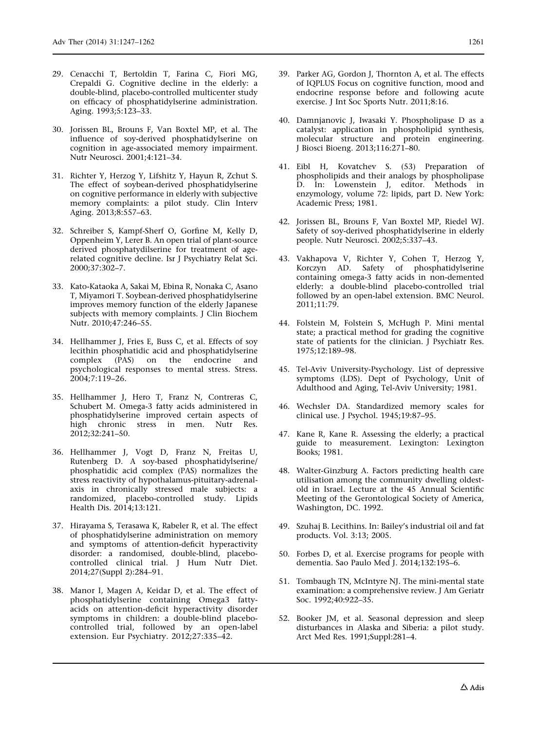- <span id="page-14-0"></span>29. Cenacchi T, Bertoldin T, Farina C, Fiori MG, Crepaldi G. Cognitive decline in the elderly: a double-blind, placebo-controlled multicenter study on efficacy of phosphatidylserine administration. Aging. 1993;5:123–33.
- 30. Jorissen BL, Brouns F, Van Boxtel MP, et al. The influence of soy-derived phosphatidylserine on cognition in age-associated memory impairment. Nutr Neurosci. 2001;4:121–34.
- 31. Richter Y, Herzog Y, Lifshitz Y, Hayun R, Zchut S. The effect of soybean-derived phosphatidylserine on cognitive performance in elderly with subjective memory complaints: a pilot study. Clin Interv Aging. 2013;8:557–63.
- 32. Schreiber S, Kampf-Sherf O, Gorfine M, Kelly D, Oppenheim Y, Lerer B. An open trial of plant-source derived phosphatydilserine for treatment of agerelated cognitive decline. Isr J Psychiatry Relat Sci. 2000;37:302–7.
- 33. Kato-Kataoka A, Sakai M, Ebina R, Nonaka C, Asano T, Miyamori T. Soybean-derived phosphatidylserine improves memory function of the elderly Japanese subjects with memory complaints. J Clin Biochem Nutr. 2010;47:246–55.
- 34. Hellhammer J, Fries E, Buss C, et al. Effects of soy lecithin phosphatidic acid and phosphatidylserine complex (PAS) on the endocrine and psychological responses to mental stress. Stress. 2004;7:119–26.
- 35. Hellhammer J, Hero T, Franz N, Contreras C, Schubert M. Omega-3 fatty acids administered in phosphatidylserine improved certain aspects of high chronic stress in men. Nutr Res. 2012;32:241–50.
- 36. Hellhammer J, Vogt D, Franz N, Freitas U, Rutenberg D. A soy-based phosphatidylserine/ phosphatidic acid complex (PAS) normalizes the stress reactivity of hypothalamus-pituitary-adrenalaxis in chronically stressed male subjects: a randomized, placebo-controlled study. Lipids Health Dis. 2014;13:121.
- 37. Hirayama S, Terasawa K, Rabeler R, et al. The effect of phosphatidylserine administration on memory and symptoms of attention-deficit hyperactivity disorder: a randomised, double-blind, placebocontrolled clinical trial. J Hum Nutr Diet. 2014;27(Suppl 2):284–91.
- 38. Manor I, Magen A, Keidar D, et al. The effect of phosphatidylserine containing Omega3 fattyacids on attention-deficit hyperactivity disorder symptoms in children: a double-blind placebocontrolled trial, followed by an open-label extension. Eur Psychiatry. 2012;27:335–42.
- 39. Parker AG, Gordon J, Thornton A, et al. The effects of IQPLUS Focus on cognitive function, mood and endocrine response before and following acute exercise. J Int Soc Sports Nutr. 2011;8:16.
- 40. Damnjanovic J, Iwasaki Y. Phospholipase D as a catalyst: application in phospholipid synthesis, molecular structure and protein engineering. J Biosci Bioeng. 2013;116:271–80.
- 41. Eibl H, Kovatchev S. (53) Preparation of phospholipids and their analogs by phospholipase D. In: Lowenstein J, editor. Methods in enzymology, volume 72: lipids, part D. New York: Academic Press; 1981.
- 42. Jorissen BL, Brouns F, Van Boxtel MP, Riedel WJ. Safety of soy-derived phosphatidylserine in elderly people. Nutr Neurosci. 2002;5:337–43.
- 43. Vakhapova V, Richter Y, Cohen T, Herzog Y, Korczyn AD. Safety of phosphatidylserine containing omega-3 fatty acids in non-demented elderly: a double-blind placebo-controlled trial followed by an open-label extension. BMC Neurol. 2011;11:79.
- 44. Folstein M, Folstein S, McHugh P. Mini mental state; a practical method for grading the cognitive state of patients for the clinician. J Psychiatr Res. 1975;12:189–98.
- 45. Tel-Aviv University-Psychology. List of depressive symptoms (LDS). Dept of Psychology, Unit of Adulthood and Aging, Tel-Aviv University; 1981.
- 46. Wechsler DA. Standardized memory scales for clinical use. J Psychol. 1945;19:87–95.
- 47. Kane R, Kane R. Assessing the elderly; a practical guide to measurement. Lexington: Lexington Books; 1981.
- 48. Walter-Ginzburg A. Factors predicting health care utilisation among the community dwelling oldestold in Israel. Lecture at the 45 Annual Scientific Meeting of the Gerontological Society of America, Washington, DC. 1992.
- 49. Szuhaj B. Lecithins. In: Bailey's industrial oil and fat products. Vol. 3:13; 2005.
- 50. Forbes D, et al. Exercise programs for people with dementia. Sao Paulo Med J. 2014;132:195–6.
- 51. Tombaugh TN, McIntyre NJ. The mini-mental state examination: a comprehensive review. J Am Geriatr Soc. 1992;40:922–35.
- 52. Booker JM, et al. Seasonal depression and sleep disturbances in Alaska and Siberia: a pilot study. Arct Med Res. 1991;Suppl:281–4.